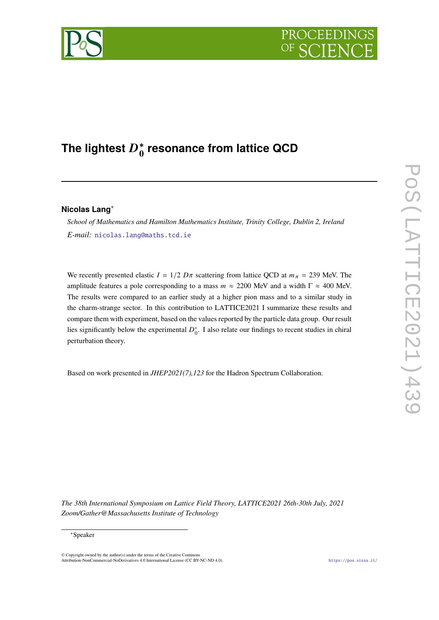# PROCEEDIN



# The lightest  $D_0^*$ **0 resonance from lattice QCD**

# **Nicolas Lang**<sup>∗</sup>

*School of Mathematics and Hamilton Mathematics Institute, Trinity College, Dublin 2, Ireland E-mail:* [nicolas.lang@maths.tcd.ie](mailto:nicolas.lang@maths.tcd.ie)

We recently presented elastic  $I = 1/2 D\pi$  scattering from lattice QCD at  $m_{\pi} = 239$  MeV. The amplitude features a pole corresponding to a mass  $m \approx 2200$  MeV and a width  $\Gamma \approx 400$  MeV. The results were compared to an earlier study at a higher pion mass and to a similar study in the charm-strange sector. In this contribution to LATTICE2021 I summarize these results and compare them with experiment, based on the values reported by the particle data group. Our result lies significantly below the experimental  $D_0^*$ . I also relate our findings to recent studies in chiral perturbation theory.

Based on work presented in *JHEP2021(7),123* for the Hadron Spectrum Collaboration.

*The 38th International Symposium on Lattice Field Theory, LATTICE2021 26th-30th July, 2021 Zoom/Gather@Massachusetts Institute of Technology*

<sup>∗</sup>Speaker

<sup>©</sup> Copyright owned by the author(s) under the terms of the Creative Common Attribution-NonCommercial-NoDerivatives 4.0 International License (CC BY-NC-ND 4.0). <https://pos.sissa.it/>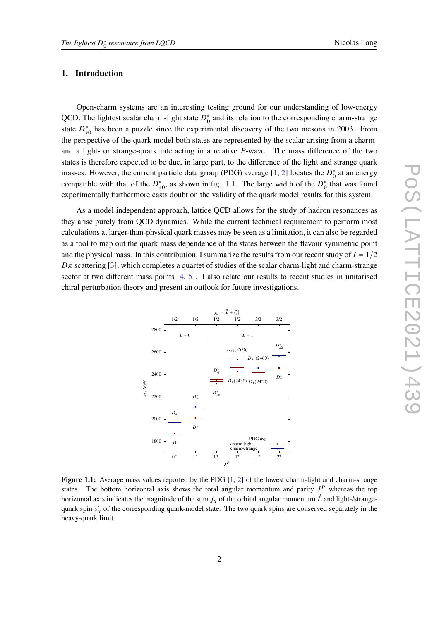#### **1. Introduction**

Open-charm systems are an interesting testing ground for our understanding of low-energy QCD. The lightest scalar charm-light state  $D_0^*$  $_{0}^{*}$  and its relation to the corresponding charm-strange state  $D_{s0}^*$  has been a puzzle since the experimental discovery of the two mesons in 2003. From the perspective of the quark-model both states are represented by the scalar arising from a charmand a light- or strange-quark interacting in a relative  $P$ -wave. The mass difference of the two states is therefore expected to be due, in large part, to the difference of the light and strange quark masses. However, the current particle data group (PDG) average [\[1,](#page-6-0) [2\]](#page-6-1) locates the  $D_0^*$  $_0^*$  at an energy compatible with that of the  $D_{s0}^*$ , as shown in fig. [1.1.](#page-1-0) The large width of the  $D_0^*$  $_0^*$  that was found experimentally furthermore casts doubt on the validity of the quark model results for this system.

As a model independent approach, lattice QCD allows for the study of hadron resonances as they arise purely from QCD dynamics. While the current technical requirement to perform most calculations at larger-than-physical quark masses may be seen as a limitation, it can also be regarded as a tool to map out the quark mass dependence of the states between the flavour symmetric point and the physical mass. In this contribution, I summarize the results from our recent study of  $I = 1/2$  $D\pi$  scattering [\[3\]](#page-6-2), which completes a quartet of studies of the scalar charm-light and charm-strange sector at two different mass points [\[4,](#page-7-0) [5\]](#page-7-1). I also relate our results to recent studies in unitarised chiral perturbation theory and present an outlook for future investigations.

<span id="page-1-0"></span>

Figure 1.1: Average mass values reported by the PDG [\[1,](#page-6-0) [2\]](#page-6-1) of the lowest charm-light and charm-strange states. The bottom horizontal axis shows the total angular momentum and parity  $J<sup>P</sup>$  whereas the top horizontal axis indicates the magnitude of the sum  $j_q$  of the orbital angular momentum  $\vec{L}$  and light-/strangequark spin  $\vec{s_q}$  of the corresponding quark-model state. The two quark spins are conserved separately in the heavy-quark limit.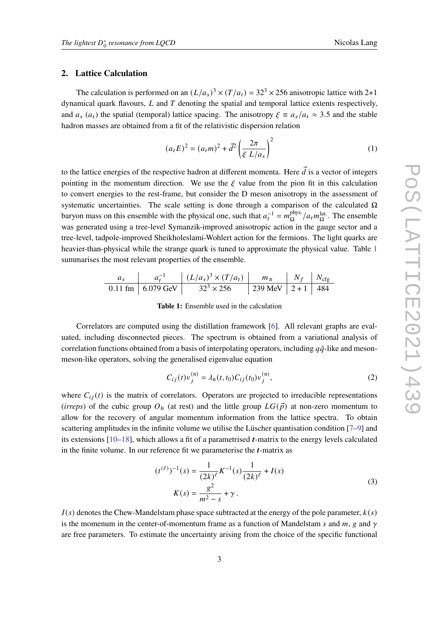# **2. Lattice Calculation**

The calculation is performed on an  $(L/a_s)^3 \times (T/a_t) = 32^3 \times 256$  anisotropic lattice with 2+1 dynamical quark flavours,  $L$  and  $T$  denoting the spatial and temporal lattice extents respectively, and  $a_s$  ( $a_t$ ) the spatial (temporal) lattice spacing. The anisotropy  $\xi \equiv a_s/a_t \approx 3.5$  and the stable hadron masses are obtained from a fit of the relativistic dispersion relation

$$
(a_t E)^2 = (a_t m)^2 + \vec{d}^2 \left(\frac{2\pi}{\xi L/a_s}\right)^2
$$
 (1)

to the lattice energies of the respective hadron at different momenta. Here  $\vec{d}$  is a vector of integers pointing in the momentum direction. We use the  $\xi$  value from the pion fit in this calculation to convert energies to the rest-frame, but consider the D meson anisotropy in the assessment of systematic uncertainties. The scale setting is done through a comparison of the calculated  $\Omega$ baryon mass on this ensemble with the physical one, such that  $a_t^{-1} = m_{\Omega}^{\text{phys.}}$  $\frac{\text{phys.}}{\Omega}/a_t m_{\Omega}^{\text{lat.}}$ . The ensemble was generated using a tree-level Symanzik-improved anisotropic action in the gauge sector and a tree-level, tadpole-improved Sheikholeslami-Wohlert action for the fermions. The light quarks are heavier-than-physical while the strange quark is tuned to approximate the physical value. Table [1](#page-2-0) summarises the most relevant properties of the ensemble.

<span id="page-2-0"></span>
$$
\begin{array}{c|c|c|c|c|c|c|c|c|c|c|c} a_s & a_t^{-1} & (L/a_s)^3 \times (T/a_t) & m_\pi & N_f & N_{\text{cfg}}\\ \hline 0.11 \text{ fm} & 6.079 \text{ GeV} & 32^3 \times 256 & 239 \text{ MeV} & 2+1 & 484 \end{array}
$$

**Table 1:** Ensemble used in the calculation

Correlators are computed using the distillation framework [\[6\]](#page-7-2). All relevant graphs are evaluated, including disconnected pieces. The spectrum is obtained from a variational analysis of correlation functions obtained from a basis of interpolating operators, including  $q\bar{q}$ -like and mesonmeson-like operators, solving the generalised eigenvalue equation

$$
C_{ij}(t)v_j^{(n)} = \lambda_n(t, t_0)C_{ij}(t_0)v_j^{(n)},
$$
\n(2)

where  $C_{ij}(t)$  is the matrix of correlators. Operators are projected to irreducible representations (*irreps*) of the cubic group  $O<sub>h</sub>$  (at rest) and the little group  $LG(\vec{p})$  at non-zero momentum to allow for the recovery of angular momentum information from the lattice spectra. To obtain scattering amplitudes in the infinite volume we utilise the Lüscher quantisation condition [\[7–](#page-7-3)[9\]](#page-7-4) and its extensions  $[10-18]$  $[10-18]$ , which allows a fit of a parametrised *t*-matrix to the energy levels calculated in the finite volume. In our reference fit we parameterise the  $t$ -matrix as

<span id="page-2-1"></span>
$$
(t^{(\ell)})^{-1}(s) = \frac{1}{(2k)^{\ell}} K^{-1}(s) \frac{1}{(2k)^{\ell}} + I(s)
$$
  

$$
K(s) = \frac{g^{2}}{m^{2} - s} + \gamma.
$$
 (3)

 $I(s)$  denotes the Chew-Mandelstam phase space subtracted at the energy of the pole parameter,  $k(s)$ is the momenum in the center-of-momentum frame as a function of Mandelstam s and  $m$ , g and  $\gamma$ are free parameters. To estimate the uncertainty arising from the choice of the specific functional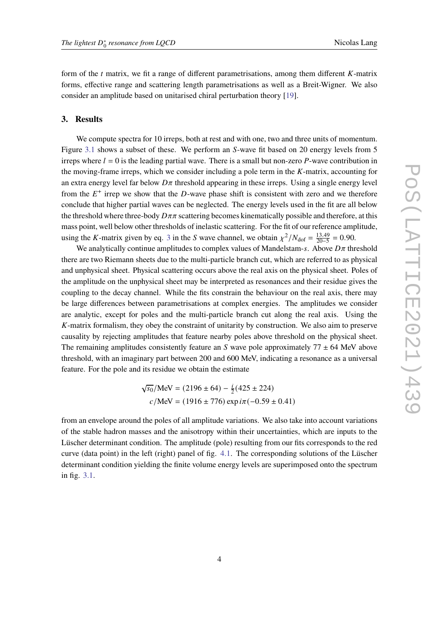form of the  $t$  matrix, we fit a range of different parametrisations, among them different  $K$ -matrix forms, effective range and scattering length parametrisations as well as a Breit-Wigner. We also consider an amplitude based on unitarised chiral perturbation theory [\[19\]](#page-8-0).

#### **3. Results**

We compute spectra for 10 irreps, both at rest and with one, two and three units of momentum. Figure [3.1](#page-4-0) shows a subset of these. We perform an  $S$ -wave fit based on 20 energy levels from 5 irreps where  $l = 0$  is the leading partial wave. There is a small but non-zero P-wave contribution in the moving-frame irreps, which we consider including a pole term in the  $K$ -matrix, accounting for an extra energy level far below  $D\pi$  threshold appearing in these irreps. Using a single energy level from the  $E^+$  irrep we show that the D-wave phase shift is consistent with zero and we therefore conclude that higher partial waves can be neglected. The energy levels used in the fit are all below the threshold where three-body  $D\pi\pi$  scattering becomes kinematically possible and therefore, at this mass point, well below other thresholds of inelastic scattering. For the fit of our reference amplitude, using the K-matrix given by eq. [3](#page-2-1) in the S wave channel, we obtain  $\chi^2/N_{\text{dof}} = \frac{13.49}{20-5}$  $\frac{13.49}{20-5} = 0.90.$ 

We analytically continue amplitudes to complex values of Mandelstam-s. Above  $D\pi$  threshold there are two Riemann sheets due to the multi-particle branch cut, which are referred to as physical and unphysical sheet. Physical scattering occurs above the real axis on the physical sheet. Poles of the amplitude on the unphysical sheet may be interpreted as resonances and their residue gives the coupling to the decay channel. While the fits constrain the behaviour on the real axis, there may be large differences between parametrisations at complex energies. The amplitudes we consider are analytic, except for poles and the multi-particle branch cut along the real axis. Using the  $K$ -matrix formalism, they obey the constraint of unitarity by construction. We also aim to preserve causality by rejecting amplitudes that feature nearby poles above threshold on the physical sheet. The remaining amplitudes consistently feature an S wave pole approximately  $77 \pm 64$  MeV above threshold, with an imaginary part between 200 and 600 MeV, indicating a resonance as a universal feature. For the pole and its residue we obtain the estimate

$$
\sqrt{s_0}
$$
/MeV = (2196 ± 64) –  $\frac{i}{2}$ (425 ± 224)  
 $c/MeV$  = (1916 ± 776) exp  $i\pi$ (-0.59 ± 0.41)

from an envelope around the poles of all amplitude variations. We also take into account variations of the stable hadron masses and the anisotropy within their uncertainties, which are inputs to the Lüscher determinant condition. The amplitude (pole) resulting from our fits corresponds to the red curve (data point) in the left (right) panel of fig. [4.1.](#page-5-0) The corresponding solutions of the Lüscher determinant condition yielding the finite volume energy levels are superimposed onto the spectrum in fig. [3.1.](#page-4-0)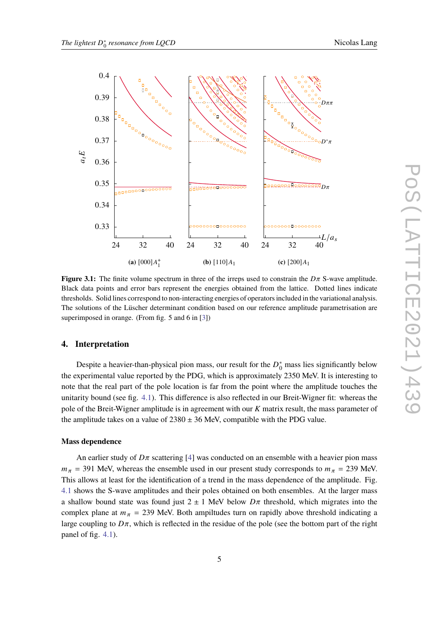<span id="page-4-0"></span>

**Figure 3.1:** The finite volume spectrum in three of the irreps used to constrain the  $D\pi$  S-wave amplitude. Black data points and error bars represent the energies obtained from the lattice. Dotted lines indicate thresholds. Solid lines correspond to non-interacting energies of operators included in the variational analysis. The solutions of the Lüscher determinant condition based on our reference amplitude parametrisation are superimposed in orange. (From fig. 5 and 6 in [\[3\]](#page-6-2))

# **4. Interpretation**

Despite a heavier-than-physical pion mass, our result for the  $D_0^*$  mass lies significantly below the experimental value reported by the PDG, which is approximately 2350 MeV. It is interesting to note that the real part of the pole location is far from the point where the amplitude touches the unitarity bound (see fig. [4.1\)](#page-5-0). This difference is also reflected in our Breit-Wigner fit: whereas the pole of the Breit-Wigner amplitude is in agreement with our  $K$  matrix result, the mass parameter of the amplitude takes on a value of  $2380 \pm 36$  MeV, compatible with the PDG value.

## **Mass dependence**

An earlier study of  $D\pi$  scattering [\[4\]](#page-7-0) was conducted on an ensemble with a heavier pion mass  $m_{\pi}$  = 391 MeV, whereas the ensemble used in our present study corresponds to  $m_{\pi}$  = 239 MeV. This allows at least for the identification of a trend in the mass dependence of the amplitude. Fig. [4.1](#page-5-0) shows the S-wave amplitudes and their poles obtained on both ensembles. At the larger mass a shallow bound state was found just  $2 \pm 1$  MeV below  $D\pi$  threshold, which migrates into the complex plane at  $m_{\pi}$  = 239 MeV. Both ampiltudes turn on rapidly above threshold indicating a large coupling to  $D\pi$ , which is reflected in the residue of the pole (see the bottom part of the right panel of fig. [4.1\)](#page-5-0).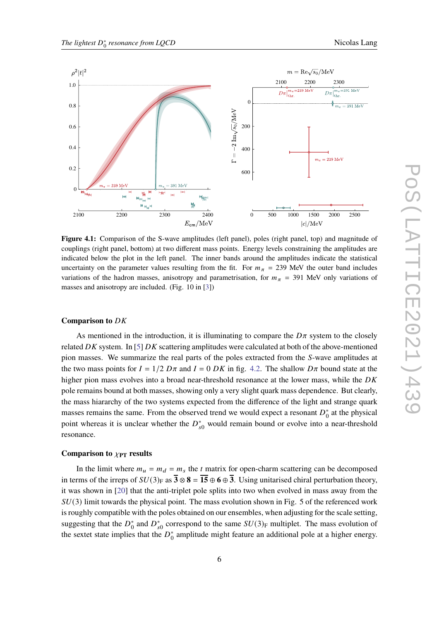<span id="page-5-0"></span>

**Figure 4.1:** Comparison of the S-wave amplitudes (left panel), poles (right panel, top) and magnitude of couplings (right panel, bottom) at two different mass points. Energy levels constraining the amplitudes are indicated below the plot in the left panel. The inner bands around the amplitudes indicate the statistical uncertainty on the parameter values resulting from the fit. For  $m<sub>\pi</sub>$  = 239 MeV the outer band includes variations of the hadron masses, anisotropy and parametrisation, for  $m_{\pi}$  = 391 MeV only variations of masses and anisotropy are included. (Fig. 10 in [\[3\]](#page-6-2))

# **Comparison to** DK

As mentioned in the introduction, it is illuminating to compare the  $D\pi$  system to the closely related  $DK$  system. In [\[5\]](#page-7-1)  $DK$  scattering amplitudes were calculated at both of the above-mentioned pion masses. We summarize the real parts of the poles extracted from the S-wave amplitudes at the two mass points for  $I = 1/2 D\pi$  and  $I = 0 DK$  in fig. [4.2.](#page-6-3) The shallow  $D\pi$  bound state at the higher pion mass evolves into a broad near-threshold resonance at the lower mass, while the  $DK$ pole remains bound at both masses, showing only a very slight quark mass dependence. But clearly, the mass hiararchy of the two systems expected from the difference of the light and strange quark masses remains the same. From the observed trend we would expect a resonant  $D_0^*$  $_{0}^{*}$  at the physical point whereas it is unclear whether the  $D_{s0}^*$  would remain bound or evolve into a near-threshold resonance.

#### **Comparison to**  $\chi_{\text{PT}}$  **results**

In the limit where  $m_u = m_d = m_s$  the t matrix for open-charm scattering can be decomposed in terms of the irreps of  $SU(3)_F$  as  $\overline{3} \otimes 8 = \overline{15} \oplus 6 \oplus \overline{3}$ . Using unitarised chiral perturbation theory, it was shown in [\[20\]](#page-8-1) that the anti-triplet pole splits into two when evolved in mass away from the  $SU(3)$  limit towards the physical point. The mass evolution shown in Fig. 5 of the referenced work is roughly compatible with the poles obtained on our ensembles, when adjusting for the scale setting, suggesting that the  $D_0^*$  $^{*}_{0}$  and  $D_{s0}^{*}$  correspond to the same  $SU(3)_{\text{F}}$  multiplet. The mass evolution of the sextet state implies that the  $D_0^*$  $_{0}^{*}$  amplitude might feature an additional pole at a higher energy.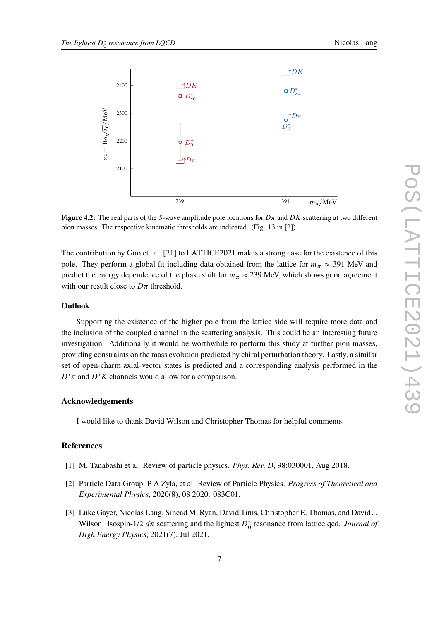<span id="page-6-3"></span>

**Figure 4.2:** The real parts of the S-wave amplitude pole locations for  $D\pi$  and  $DK$  scattering at two different pion masses. The respective kinematic thresholds are indicated. (Fig. 13 in [\[3\]](#page-6-2))

The contribution by Guo et. al. [\[21\]](#page-8-2) to LATTICE2021 makes a strong case for the existence of this pole. They perform a global fit including data obtained from the lattice for  $m_{\pi} \approx 391$  MeV and predict the energy dependence of the phase shift for  $m_{\pi} \approx 239$  MeV, which shows good agreement with our result close to  $D\pi$  threshold.

## **Outlook**

Supporting the existence of the higher pole from the lattice side will require more data and the inclusion of the coupled channel in the scattering analysis. This could be an interesting future investigation. Additionally it would be worthwhile to perform this study at further pion masses, providing constraints on the mass evolution predicted by chiral perturbation theory. Lastly, a similar set of open-charm axial-vector states is predicted and a corresponding analysis performed in the  $D^*\pi$  and  $D^*K$  channels would allow for a comparison.

# **Acknowledgements**

I would like to thank David Wilson and Christopher Thomas for helpful comments.

### **References**

- <span id="page-6-0"></span>[1] M. Tanabashi et al. Review of particle physics. *Phys. Rev. D*, 98:030001, Aug 2018.
- <span id="page-6-1"></span>[2] Particle Data Group, P A Zyla, et al. Review of Particle Physics. *Progress of Theoretical and Experimental Physics*, 2020(8), 08 2020. 083C01.
- <span id="page-6-2"></span>[3] Luke Gayer, Nicolas Lang, Sinéad M. Ryan, David Tims, Christopher E. Thomas, and David J. Wilson. Isospin-1/2  $d\pi$  scattering and the lightest  $D_0^*$ 0 resonance from lattice qcd. *Journal of High Energy Physics*, 2021(7), Jul 2021.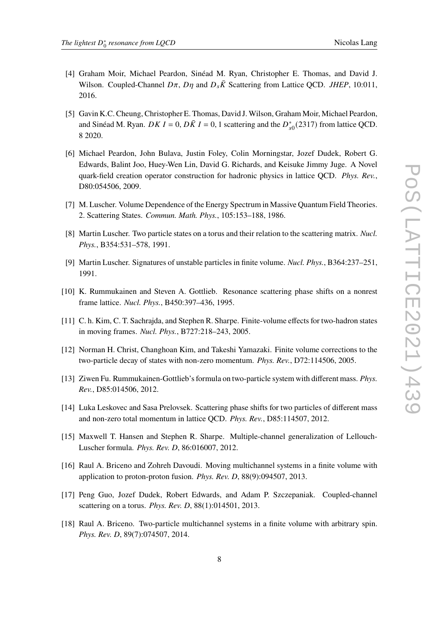2016.

- <span id="page-7-0"></span>[4] Graham Moir, Michael Peardon, Sinéad M. Ryan, Christopher E. Thomas, and David J. Wilson. Coupled-Channel  $D\pi$ ,  $D\eta$  and  $D_s\bar{K}$  Scattering from Lattice QCD. *JHEP*, 10:011,
- <span id="page-7-1"></span>[5] Gavin K.C. Cheung, Christopher E. Thomas, David J. Wilson, Graham Moir, Michael Peardon, and Sinéad M. Ryan. *DK 1* = 0, *DK 1* = 0, 1 scattering and the  $D_{s0}^{*}(2317)$  from lattice QCD. 8 2020.
- <span id="page-7-2"></span>[6] Michael Peardon, John Bulava, Justin Foley, Colin Morningstar, Jozef Dudek, Robert G. Edwards, Balint Joo, Huey-Wen Lin, David G. Richards, and Keisuke Jimmy Juge. A Novel quark-field creation operator construction for hadronic physics in lattice QCD. *Phys. Rev.*, D80:054506, 2009.
- <span id="page-7-3"></span>[7] M. Luscher. Volume Dependence of the Energy Spectrum in Massive Quantum Field Theories. 2. Scattering States. *Commun. Math. Phys.*, 105:153–188, 1986.
- [8] Martin Luscher. Two particle states on a torus and their relation to the scattering matrix. *Nucl. Phys.*, B354:531–578, 1991.
- <span id="page-7-4"></span>[9] Martin Luscher. Signatures of unstable particles in finite volume. *Nucl. Phys.*, B364:237–251, 1991.
- <span id="page-7-5"></span>[10] K. Rummukainen and Steven A. Gottlieb. Resonance scattering phase shifts on a nonrest frame lattice. *Nucl. Phys.*, B450:397–436, 1995.
- [11] C. h. Kim, C. T. Sachrajda, and Stephen R. Sharpe. Finite-volume effects for two-hadron states in moving frames. *Nucl. Phys.*, B727:218–243, 2005.
- [12] Norman H. Christ, Changhoan Kim, and Takeshi Yamazaki. Finite volume corrections to the two-particle decay of states with non-zero momentum. *Phys. Rev.*, D72:114506, 2005.
- [13] Ziwen Fu. Rummukainen-Gottlieb's formula on two-particle system with different mass. *Phys. Rev.*, D85:014506, 2012.
- [14] Luka Leskovec and Sasa Prelovsek. Scattering phase shifts for two particles of different mass and non-zero total momentum in lattice QCD. *Phys. Rev.*, D85:114507, 2012.
- [15] Maxwell T. Hansen and Stephen R. Sharpe. Multiple-channel generalization of Lellouch-Luscher formula. *Phys. Rev. D*, 86:016007, 2012.
- [16] Raul A. Briceno and Zohreh Davoudi. Moving multichannel systems in a finite volume with application to proton-proton fusion. *Phys. Rev. D*, 88(9):094507, 2013.
- [17] Peng Guo, Jozef Dudek, Robert Edwards, and Adam P. Szczepaniak. Coupled-channel scattering on a torus. *Phys. Rev. D*, 88(1):014501, 2013.
- <span id="page-7-6"></span>[18] Raul A. Briceno. Two-particle multichannel systems in a finite volume with arbitrary spin. *Phys. Rev. D*, 89(7):074507, 2014.